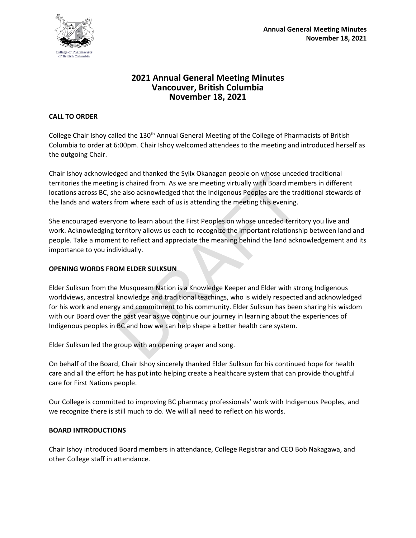

# **2021 Annual General Meeting Minutes Vancouver, British Columbia November 18, 2021**

### **CALL TO ORDER**

College Chair Ishoy called the 130<sup>th</sup> Annual General Meeting of the College of Pharmacists of British Columbia to order at 6:00pm. Chair Ishoy welcomed attendees to the meeting and introduced herself as the outgoing Chair.

Chair Ishoy acknowledged and thanked the Syilx Okanagan people on whose unceded traditional territories the meeting is chaired from. As we are meeting virtually with Board members in different locations across BC, she also acknowledged that the Indigenous Peoples are the traditional stewards of the lands and waters from where each of us is attending the meeting this evening.

She encouraged everyone to learn about the First Peoples on whose unceded territory you live and work. Acknowledging territory allows us each to recognize the important relationship between land and people. Take a moment to reflect and appreciate the meaning behind the land acknowledgement and its importance to you individually.

### **OPENING WORDS FROM ELDER SULKSUN**

gled and thanked the synx Oxaniagan people on whose difeed<br>is chaired from. As we are meeting virtually with Board men<br>e also acknowledged that the Indigenous Peoples are the tra<br>rom where each of us is attending the meeti Elder Sulksun from the Musqueam Nation is a Knowledge Keeper and Elder with strong Indigenous worldviews, ancestral knowledge and traditional teachings, who is widely respected and acknowledged for his work and energy and commitment to his community. Elder Sulksun has been sharing his wisdom with our Board over the past year as we continue our journey in learning about the experiences of Indigenous peoples in BC and how we can help shape a better health care system.

Elder Sulksun led the group with an opening prayer and song.

On behalf of the Board, Chair Ishoy sincerely thanked Elder Sulksun for his continued hope for health care and all the effort he has put into helping create a healthcare system that can provide thoughtful care for First Nations people.

Our College is committed to improving BC pharmacy professionals' work with Indigenous Peoples, and we recognize there is still much to do. We will all need to reflect on his words.

#### **BOARD INTRODUCTIONS**

Chair Ishoy introduced Board members in attendance, College Registrar and CEO Bob Nakagawa, and other College staff in attendance.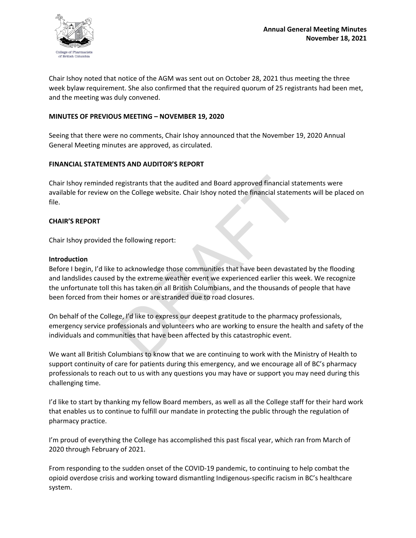

Chair Ishoy noted that notice of the AGM was sent out on October 28, 2021 thus meeting the three week bylaw requirement. She also confirmed that the required quorum of 25 registrants had been met, and the meeting was duly convened.

#### **MINUTES OF PREVIOUS MEETING – NOVEMBER 19, 2020**

Seeing that there were no comments, Chair Ishoy announced that the November 19, 2020 Annual General Meeting minutes are approved, as circulated.

#### **FINANCIAL STATEMENTS AND AUDITOR'S REPORT**

Chair Ishoy reminded registrants that the audited and Board approved financial statements were available for review on the College website. Chair Ishoy noted the financial statements will be placed on file.

#### **CHAIR'S REPORT**

Chair Ishoy provided the following report:

#### **Introduction**

registrants that the audited and Board approved financial statement the College website. Chair Ishoy noted the financial statement the College website. Chair Ishoy noted the financial statement of the financial statement o Before I begin, I'd like to acknowledge those communities that have been devastated by the flooding and landslides caused by the extreme weather event we experienced earlier this week. We recognize the unfortunate toll this has taken on all British Columbians, and the thousands of people that have been forced from their homes or are stranded due to road closures.

On behalf of the College, I'd like to express our deepest gratitude to the pharmacy professionals, emergency service professionals and volunteers who are working to ensure the health and safety of the individuals and communities that have been affected by this catastrophic event.

We want all British Columbians to know that we are continuing to work with the Ministry of Health to support continuity of care for patients during this emergency, and we encourage all of BC's pharmacy professionals to reach out to us with any questions you may have or support you may need during this challenging time.

I'd like to start by thanking my fellow Board members, as well as all the College staff for their hard work that enables us to continue to fulfill our mandate in protecting the public through the regulation of pharmacy practice.

I'm proud of everything the College has accomplished this past fiscal year, which ran from March of 2020 through February of 2021.

From responding to the sudden onset of the COVID-19 pandemic, to continuing to help combat the opioid overdose crisis and working toward dismantling Indigenous-specific racism in BC's healthcare system.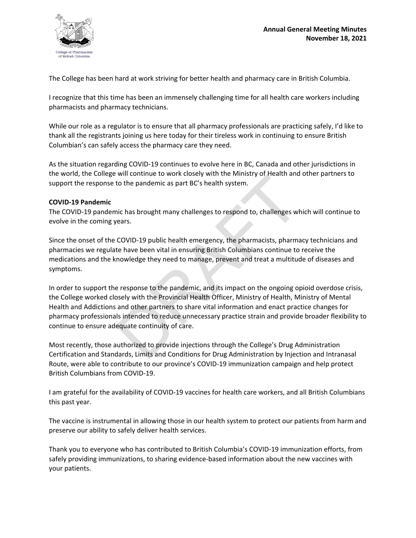

The College has been hard at work striving for better health and pharmacy care in British Columbia.

I recognize that this time has been an immensely challenging time for all health care workers including pharmacists and pharmacy technicians.

While our role as a regulator is to ensure that all pharmacy professionals are practicing safely, I'd like to thank all the registrants joining us here today for their tireless work in continuing to ensure British Columbian's can safely access the pharmacy care they need.

As the situation regarding COVID-19 continues to evolve here in BC, Canada and other jurisdictions in the world, the College will continue to work closely with the Ministry of Health and other partners to support the response to the pandemic as part BC's health system.

#### **COVID-19 Pandemic**

The COVID-19 pandemic has brought many challenges to respond to, challenges which will continue to evolve in the coming years.

Since the onset of the COVID-19 public health emergency, the pharmacists, pharmacy technicians and pharmacies we regulate have been vital in ensuring British Columbians continue to receive the medications and the knowledge they need to manage, prevent and treat a multitude of diseases and symptoms.

Will continue to work closely with the will stay of Health and<br>to the pandemic as part BC's health system.<br>inc has brought many challenges to respond to, challenges whears.<br>COVID-19 public health emergency, the pharmacists In order to support the response to the pandemic, and its impact on the ongoing opioid overdose crisis, the College worked closely with the Provincial Health Officer, Ministry of Health, Ministry of Mental Health and Addictions and other partners to share vital information and enact practice changes for pharmacy professionals intended to reduce unnecessary practice strain and provide broader flexibility to continue to ensure adequate continuity of care.

Most recently, those authorized to provide injections through the College's Drug Administration Certification and Standards, Limits and Conditions for Drug Administration by Injection and Intranasal Route, were able to contribute to our province's COVID-19 immunization campaign and help protect British Columbians from COVID-19.

I am grateful for the availability of COVID-19 vaccines for health care workers, and all British Columbians this past year.

The vaccine is instrumental in allowing those in our health system to protect our patients from harm and preserve our ability to safely deliver health services.

Thank you to everyone who has contributed to British Columbia's COVID-19 immunization efforts, from safely providing immunizations, to sharing evidence-based information about the new vaccines with your patients.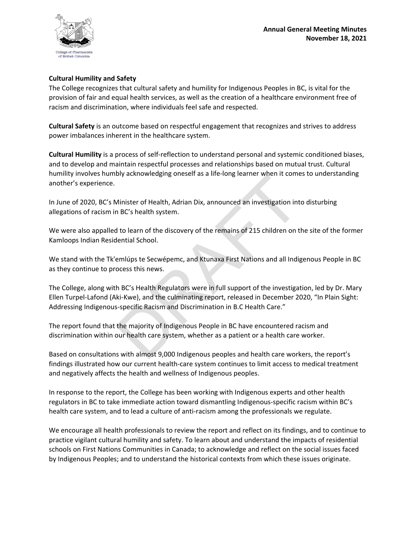

## **Cultural Humility and Safety**

The College recognizes that cultural safety and humility for Indigenous Peoples in BC, is vital for the provision of fair and equal health services, as well as the creation of a healthcare environment free of racism and discrimination, where individuals feel safe and respected.

**Cultural Safety** is an outcome based on respectful engagement that recognizes and strives to address power imbalances inherent in the healthcare system.

**Cultural Humility** is a process of self-reflection to understand personal and systemic conditioned biases, and to develop and maintain respectful processes and relationships based on mutual trust. Cultural humility involves humbly acknowledging oneself as a life-long learner when it comes to understanding another's experience.

In June of 2020, BC's Minister of Health, Adrian Dix, announced an investigation into disturbing allegations of racism in BC's health system.

We were also appalled to learn of the discovery of the remains of 215 children on the site of the former Kamloops Indian Residential School.

We stand with the Tk'emlúps te Secwépemc, and Ktunaxa First Nations and all Indigenous People in BC as they continue to process this news.

Minister of Health, Adrian Dix, announced an investigation int<br>
18 BC's health system.<br>
18 BC's health system.<br>
18 BC's health system.<br>
18 BC's health system.<br>
18 BC's health system.<br>
18 BC's Health System.<br>
18 BC's Health The College, along with BC's Health Regulators were in full support of the investigation, led by Dr. Mary Ellen Turpel-Lafond (Aki-Kwe), and the culminating report, released in December 2020, "In Plain Sight: Addressing Indigenous-specific Racism and Discrimination in B.C Health Care."

The report found that the majority of Indigenous People in BC have encountered racism and discrimination within our health care system, whether as a patient or a health care worker.

Based on consultations with almost 9,000 Indigenous peoples and health care workers, the report's findings illustrated how our current health-care system continues to limit access to medical treatment and negatively affects the health and wellness of Indigenous peoples.

In response to the report, the College has been working with Indigenous experts and other health regulators in BC to take immediate action toward dismantling Indigenous-specific racism within BC's health care system, and to lead a culture of anti-racism among the professionals we regulate.

We encourage all health professionals to review the report and reflect on its findings, and to continue to practice vigilant cultural humility and safety. To learn about and understand the impacts of residential schools on First Nations Communities in Canada; to acknowledge and reflect on the social issues faced by Indigenous Peoples; and to understand the historical contexts from which these issues originate.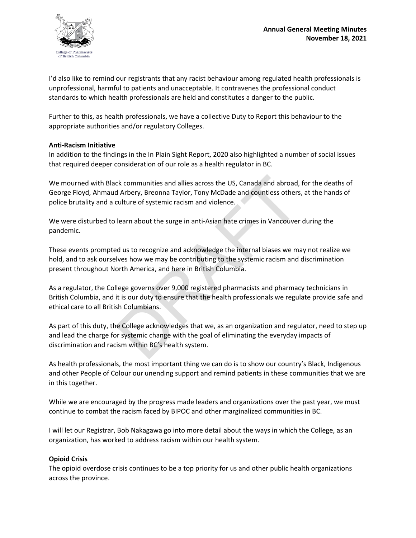

I'd also like to remind our registrants that any racist behaviour among regulated health professionals is unprofessional, harmful to patients and unacceptable. It contravenes the professional conduct standards to which health professionals are held and constitutes a danger to the public.

Further to this, as health professionals, we have a collective Duty to Report this behaviour to the appropriate authorities and/or regulatory Colleges.

### **Anti-Racism Initiative**

In addition to the findings in the In Plain Sight Report, 2020 also highlighted a number of social issues that required deeper consideration of our role as a health regulator in BC.

We mourned with Black communities and allies across the US, Canada and abroad, for the deaths of George Floyd, Ahmaud Arbery, Breonna Taylor, Tony McDade and countless others, at the hands of police brutality and a culture of systemic racism and violence.

We were disturbed to learn about the surge in anti-Asian hate crimes in Vancouver during the pandemic.

These events prompted us to recognize and acknowledge the internal biases we may not realize we hold, and to ask ourselves how we may be contributing to the systemic racism and discrimination present throughout North America, and here in British Columbia.

As a regulator, the College governs over 9,000 registered pharmacists and pharmacy technicians in British Columbia, and it is our duty to ensure that the health professionals we regulate provide safe and ethical care to all British Columbians.

ck communities and allies across the US, Canada and abroad,<br>d Arbery, Breonna Taylor, Tony McDade and countless others<br>culture of systemic racism and violence.<br>learn about the surge in anti-Asian hate crimes in Vancouver<br>d As part of this duty, the College acknowledges that we, as an organization and regulator, need to step up and lead the charge for systemic change with the goal of eliminating the everyday impacts of discrimination and racism within BC's health system.

As health professionals, the most important thing we can do is to show our country's Black, Indigenous and other People of Colour our unending support and remind patients in these communities that we are in this together.

While we are encouraged by the progress made leaders and organizations over the past year, we must continue to combat the racism faced by BIPOC and other marginalized communities in BC.

I will let our Registrar, Bob Nakagawa go into more detail about the ways in which the College, as an organization, has worked to address racism within our health system.

## **Opioid Crisis**

The opioid overdose crisis continues to be a top priority for us and other public health organizations across the province.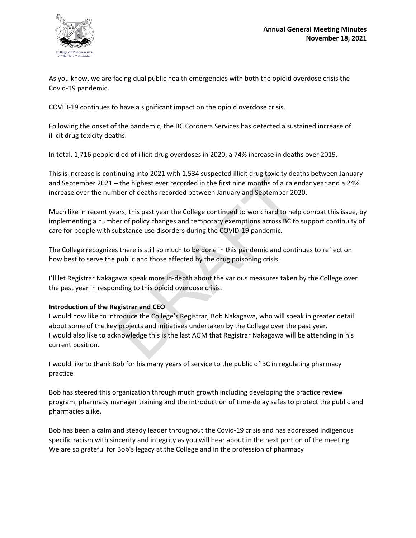

As you know, we are facing dual public health emergencies with both the opioid overdose crisis the Covid-19 pandemic.

COVID-19 continues to have a significant impact on the opioid overdose crisis.

Following the onset of the pandemic, the BC Coroners Services has detected a sustained increase of illicit drug toxicity deaths.

In total, 1,716 people died of illicit drug overdoses in 2020, a 74% increase in deaths over 2019.

This is increase is continuing into 2021 with 1,534 suspected illicit drug toxicity deaths between January and September 2021 – the highest ever recorded in the first nine months of a calendar year and a 24% increase over the number of deaths recorded between January and September 2020.

Much like in recent years, this past year the College continued to work hard to help combat this issue, by implementing a number of policy changes and temporary exemptions across BC to support continuity of care for people with substance use disorders during the COVID-19 pandemic.

The College recognizes there is still so much to be done in this pandemic and continues to reflect on how best to serve the public and those affected by the drug poisoning crisis.

I'll let Registrar Nakagawa speak more in-depth about the various measures taken by the College over the past year in responding to this opioid overdose crisis.

## **Introduction of the Registrar and CEO**

The highest ever recorded in the first nine months of a calent-<br>the highest ever recorded in the first nine months of a calent-<br>ber of deaths recorded between January and September 202<br>ars, this past year the College conti I would now like to introduce the College's Registrar, Bob Nakagawa, who will speak in greater detail about some of the key projects and initiatives undertaken by the College over the past year. I would also like to acknowledge this is the last AGM that Registrar Nakagawa will be attending in his current position.

I would like to thank Bob for his many years of service to the public of BC in regulating pharmacy practice

Bob has steered this organization through much growth including developing the practice review program, pharmacy manager training and the introduction of time-delay safes to protect the public and pharmacies alike.

Bob has been a calm and steady leader throughout the Covid-19 crisis and has addressed indigenous specific racism with sincerity and integrity as you will hear about in the next portion of the meeting We are so grateful for Bob's legacy at the College and in the profession of pharmacy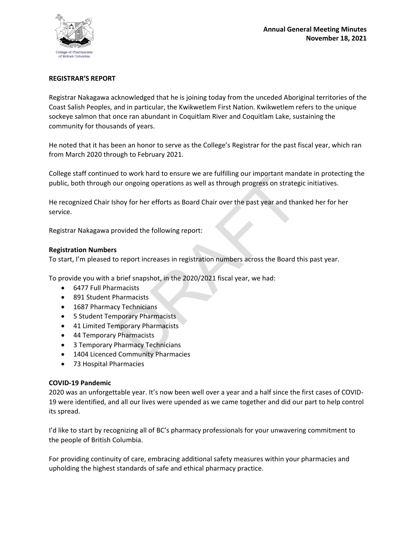

#### **REGISTRAR'S REPORT**

Registrar Nakagawa acknowledged that he is joining today from the unceded Aboriginal territories of the Coast Salish Peoples, and in particular, the Kwikwetlem First Nation. Kwikwetlem refers to the unique sockeye salmon that once ran abundant in Coquitlam River and Coquitlam Lake, sustaining the community for thousands of years.

He noted that it has been an honor to serve as the College's Registrar for the past fiscal year, which ran from March 2020 through to February 2021.

College staff continued to work hard to ensure we are fulfilling our important mandate in protecting the public, both through our ongoing operations as well as through progress on strategic initiatives.

our ongoing operations as well as through progress on strateger and that<br>they for her efforts as Board Chair over the past year and than<br>rovided the following report:<br>s<br>o report increases in registration numbers across the He recognized Chair Ishoy for her efforts as Board Chair over the past year and thanked her for her service.

Registrar Nakagawa provided the following report:

#### **Registration Numbers**

To start, I'm pleased to report increases in registration numbers across the Board this past year.

To provide you with a brief snapshot, in the 2020/2021 fiscal year, we had:

- 6477 Full Pharmacists
- 891 Student Pharmacists
- 1687 Pharmacy Technicians
- 5 Student Temporary Pharmacists
- 41 Limited Temporary Pharmacists
- 44 Temporary Pharmacists
- 3 Temporary Pharmacy Technicians
- 1404 Licenced Community Pharmacies
- 73 Hospital Pharmacies

#### **COVID-19 Pandemic**

2020 was an unforgettable year. It's now been well over a year and a half since the first cases of COVID-19 were identified, and all our lives were upended as we came together and did our part to help control its spread.

I'd like to start by recognizing all of BC's pharmacy professionals for your unwavering commitment to the people of British Columbia.

For providing continuity of care, embracing additional safety measures within your pharmacies and upholding the highest standards of safe and ethical pharmacy practice.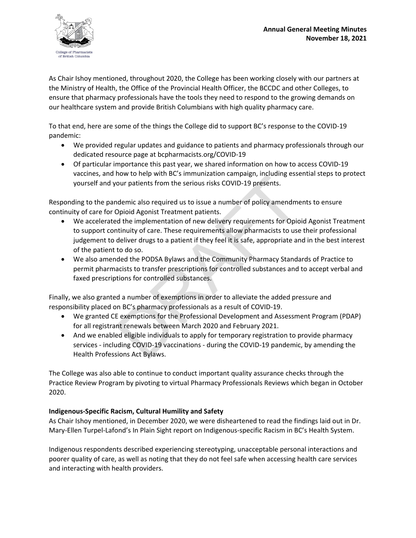

As Chair Ishoy mentioned, throughout 2020, the College has been working closely with our partners at the Ministry of Health, the Office of the Provincial Health Officer, the BCCDC and other Colleges, to ensure that pharmacy professionals have the tools they need to respond to the growing demands on our healthcare system and provide British Columbians with high quality pharmacy care.

To that end, here are some of the things the College did to support BC's response to the COVID-19 pandemic:

- We provided regular updates and guidance to patients and pharmacy professionals through our dedicated resource page at bcpharmacists.org/COVID-19
- Of particular importance this past year, we shared information on how to access COVID-19 vaccines, and how to help with BC's immunization campaign, including essential steps to protect yourself and your patients from the serious risks COVID-19 presents.

Responding to the pandemic also required us to issue a number of policy amendments to ensure continuity of care for Opioid Agonist Treatment patients.

- now to neip with act similalization campaign, including esset<br>our patients from the serious risks COVID-19 presents.<br>Ademic also required us to issue a number of policy amendme<br>Opioid Agonist Treatment patients.<br>Ad the imp • We accelerated the implementation of new delivery requirements for Opioid Agonist Treatment to support continuity of care. These requirements allow pharmacists to use their professional judgement to deliver drugs to a patient if they feel it is safe, appropriate and in the best interest of the patient to do so.
- We also amended the PODSA Bylaws and the Community Pharmacy Standards of Practice to permit pharmacists to transfer prescriptions for controlled substances and to accept verbal and faxed prescriptions for controlled substances.

Finally, we also granted a number of exemptions in order to alleviate the added pressure and responsibility placed on BC's pharmacy professionals as a result of COVID-19.

- We granted CE exemptions for the Professional Development and Assessment Program (PDAP) for all registrant renewals between March 2020 and February 2021.
- And we enabled eligible individuals to apply for temporary registration to provide pharmacy services - including COVID-19 vaccinations - during the COVID-19 pandemic, by amending the Health Professions Act Bylaws.

The College was also able to continue to conduct important quality assurance checks through the Practice Review Program by pivoting to virtual Pharmacy Professionals Reviews which began in October 2020.

# **Indigenous-Specific Racism, Cultural Humility and Safety**

As Chair Ishoy mentioned, in December 2020, we were disheartened to read the findings laid out in Dr. Mary-Ellen Turpel-Lafond's In Plain Sight report on Indigenous-specific Racism in BC's Health System.

Indigenous respondents described experiencing stereotyping, unacceptable personal interactions and poorer quality of care, as well as noting that they do not feel safe when accessing health care services and interacting with health providers.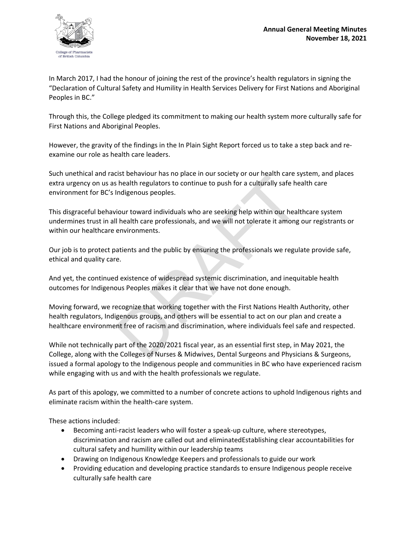

In March 2017, I had the honour of joining the rest of the province's health regulators in signing the "Declaration of Cultural Safety and Humility in Health Services Delivery for First Nations and Aboriginal Peoples in BC."

Through this, the College pledged its commitment to making our health system more culturally safe for First Nations and Aboriginal Peoples.

However, the gravity of the findings in the In Plain Sight Report forced us to take a step back and reexamine our role as health care leaders.

Such unethical and racist behaviour has no place in our society or our health care system, and places extra urgency on us as health regulators to continue to push for a culturally safe health care environment for BC's Indigenous peoples.

Ist behaviour has no place in our society of our health care systemation has no place in our society of our health gap and the public or a culturally safe he indigenous peoples.<br>
iour toward individuals who are seeking hel This disgraceful behaviour toward individuals who are seeking help within our healthcare system undermines trust in all health care professionals, and we will not tolerate it among our registrants or within our healthcare environments.

Our job is to protect patients and the public by ensuring the professionals we regulate provide safe, ethical and quality care.

And yet, the continued existence of widespread systemic discrimination, and inequitable health outcomes for Indigenous Peoples makes it clear that we have not done enough.

Moving forward, we recognize that working together with the First Nations Health Authority, other health regulators, Indigenous groups, and others will be essential to act on our plan and create a healthcare environment free of racism and discrimination, where individuals feel safe and respected.

While not technically part of the 2020/2021 fiscal year, as an essential first step, in May 2021, the College, along with the Colleges of Nurses & Midwives, Dental Surgeons and Physicians & Surgeons, issued a formal apology to the Indigenous people and communities in BC who have experienced racism while engaging with us and with the health professionals we regulate.

As part of this apology, we committed to a number of concrete actions to uphold Indigenous rights and eliminate racism within the health-care system.

These actions included:

- Becoming anti-racist leaders who will foster a speak-up culture, where stereotypes, discrimination and racism are called out and eliminatedEstablishing clear accountabilities for cultural safety and humility within our leadership teams
- Drawing on Indigenous Knowledge Keepers and professionals to guide our work
- Providing education and developing practice standards to ensure Indigenous people receive culturally safe health care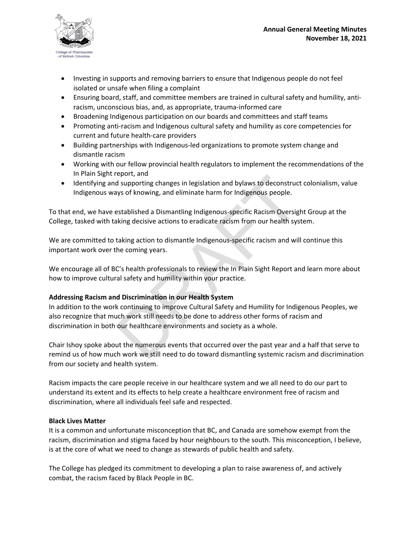

- Investing in supports and removing barriers to ensure that Indigenous people do not feel isolated or unsafe when filing a complaint
- Ensuring board, staff, and committee members are trained in cultural safety and humility, antiracism, unconscious bias, and, as appropriate, trauma-informed care
- Broadening Indigenous participation on our boards and committees and staff teams
- Promoting anti-racism and Indigenous cultural safety and humility as core competencies for current and future health-care providers
- Building partnerships with Indigenous-led organizations to promote system change and dismantle racism
- Working with our fellow provincial health regulators to implement the recommendations of the In Plain Sight report, and
- Identifying and supporting changes in legislation and bylaws to deconstruct colonialism, value Indigenous ways of knowing, and eliminate harm for Indigenous people.

To that end, we have established a Dismantling Indigenous-specific Racism Oversight Group at the College, tasked with taking decisive actions to eradicate racism from our health system.

We are committed to taking action to dismantle Indigenous-specific racism and will continue this important work over the coming years.

We encourage all of BC's health professionals to review the In Plain Sight Report and learn more about how to improve cultural safety and humility within your practice.

## **Addressing Racism and Discrimination in our Health System**

eport, and<br>supporting changes in legislation and bylaws to deconstruct<br>ys of knowing, and eliminate harm for Indigenous people.<br>established a Dismantling Indigenous-specific Racism Oversigk<br>king decisive actions to eradica In addition to the work continuing to improve Cultural Safety and Humility for Indigenous Peoples, we also recognize that much work still needs to be done to address other forms of racism and discrimination in both our healthcare environments and society as a whole.

Chair Ishoy spoke about the numerous events that occurred over the past year and a half that serve to remind us of how much work we still need to do toward dismantling systemic racism and discrimination from our society and health system.

Racism impacts the care people receive in our healthcare system and we all need to do our part to understand its extent and its effects to help create a healthcare environment free of racism and discrimination, where all individuals feel safe and respected.

#### **Black Lives Matter**

It is a common and unfortunate misconception that BC, and Canada are somehow exempt from the racism, discrimination and stigma faced by hour neighbours to the south. This misconception, I believe, is at the core of what we need to change as stewards of public health and safety.

The College has pledged its commitment to developing a plan to raise awareness of, and actively combat, the racism faced by Black People in BC.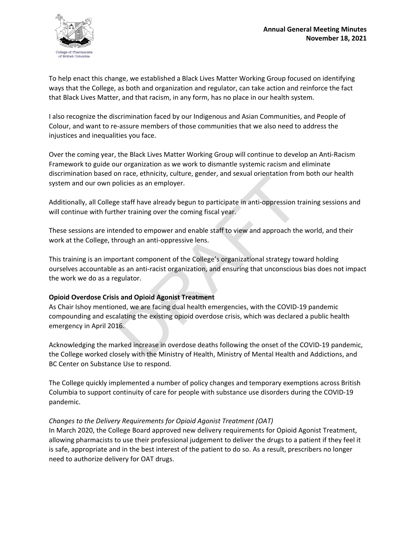

To help enact this change, we established a Black Lives Matter Working Group focused on identifying ways that the College, as both and organization and regulator, can take action and reinforce the fact that Black Lives Matter, and that racism, in any form, has no place in our health system.

I also recognize the discrimination faced by our Indigenous and Asian Communities, and People of Colour, and want to re-assure members of those communities that we also need to address the injustices and inequalities you face.

Over the coming year, the Black Lives Matter Working Group will continue to develop an Anti-Racism Framework to guide our organization as we work to dismantle systemic racism and eliminate discrimination based on race, ethnicity, culture, gender, and sexual orientation from both our health system and our own policies as an employer.

Additionally, all College staff have already begun to participate in anti-oppression training sessions and will continue with further training over the coming fiscal year.

These sessions are intended to empower and enable staff to view and approach the world, and their work at the College, through an anti-oppressive lens.

This training is an important component of the College's organizational strategy toward holding ourselves accountable as an anti-racist organization, and ensuring that unconscious bias does not impact the work we do as a regulator.

## **Opioid Overdose Crisis and Opioid Agonist Treatment**

oriate, ethnicky, culture, genter, and sexual orientation intri-<br>olicies as an employer.<br>e staff have already begun to participate in anti-oppression ti<br>her training over the coming fiscal year.<br>ended to empower and enable As Chair Ishoy mentioned, we are facing dual health emergencies, with the COVID-19 pandemic compounding and escalating the existing opioid overdose crisis, which was declared a public health emergency in April 2016.

Acknowledging the marked increase in overdose deaths following the onset of the COVID-19 pandemic, the College worked closely with the Ministry of Health, Ministry of Mental Health and Addictions, and BC Center on Substance Use to respond.

The College quickly implemented a number of policy changes and temporary exemptions across British Columbia to support continuity of care for people with substance use disorders during the COVID-19 pandemic.

#### *Changes to the Delivery Requirements for Opioid Agonist Treatment (OAT)*

In March 2020, the College Board approved new delivery requirements for Opioid Agonist Treatment, allowing pharmacists to use their professional judgement to deliver the drugs to a patient if they feel it is safe, appropriate and in the best interest of the patient to do so. As a result, prescribers no longer need to authorize delivery for OAT drugs.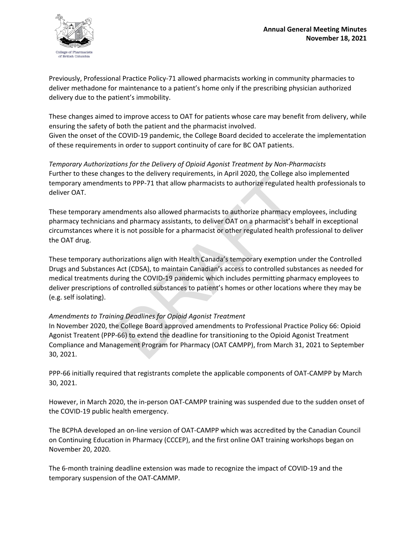

Previously, Professional Practice Policy-71 allowed pharmacists working in community pharmacies to deliver methadone for maintenance to a patient's home only if the prescribing physician authorized delivery due to the patient's immobility.

These changes aimed to improve access to OAT for patients whose care may benefit from delivery, while ensuring the safety of both the patient and the pharmacist involved. Given the onset of the COVID-19 pandemic, the College Board decided to accelerate the implementation of these requirements in order to support continuity of care for BC OAT patients.

*Temporary Authorizations for the Delivery of Opioid Agonist Treatment by Non-Pharmacists*  Further to these changes to the delivery requirements, in April 2020, the College also implemented temporary amendments to PPP-71 that allow pharmacists to authorize regulated health professionals to deliver OAT.

These temporary amendments also allowed pharmacists to authorize pharmacy employees, including pharmacy technicians and pharmacy assistants, to deliver OAT on a pharmacist's behalf in exceptional circumstances where it is not possible for a pharmacist or other regulated health professional to deliver the OAT drug.

ges to the denvery requirements, in April 2020; the college and<br>the to PPP-71 that allow pharmacists to authorize regulated his<br>to PPP-71 that allow pharmacists to authorize regulated his<br>not pharmacy assistants, to delive These temporary authorizations align with Health Canada's temporary exemption under the Controlled Drugs and Substances Act (CDSA), to maintain Canadian's access to controlled substances as needed for medical treatments during the COVID-19 pandemic which includes permitting pharmacy employees to deliver prescriptions of controlled substances to patient's homes or other locations where they may be (e.g. self isolating).

## *Amendments to Training Deadlines for Opioid Agonist Treatment*

In November 2020, the College Board approved amendments to Professional Practice Policy 66: Opioid Agonist Treatent (PPP-66) to extend the deadline for transitioning to the Opioid Agonist Treatment Compliance and Management Program for Pharmacy (OAT CAMPP), from March 31, 2021 to September 30, 2021.

PPP-66 initially required that registrants complete the applicable components of OAT-CAMPP by March 30, 2021.

However, in March 2020, the in-person OAT-CAMPP training was suspended due to the sudden onset of the COVID-19 public health emergency.

The BCPhA developed an on-line version of OAT-CAMPP which was accredited by the Canadian Council on Continuing Education in Pharmacy (CCCEP), and the first online OAT training workshops began on November 20, 2020.

The 6-month training deadline extension was made to recognize the impact of COVID-19 and the temporary suspension of the OAT-CAMMP.